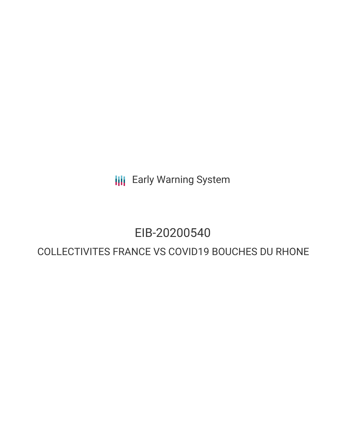**III** Early Warning System

## EIB-20200540

### COLLECTIVITES FRANCE VS COVID19 BOUCHES DU RHONE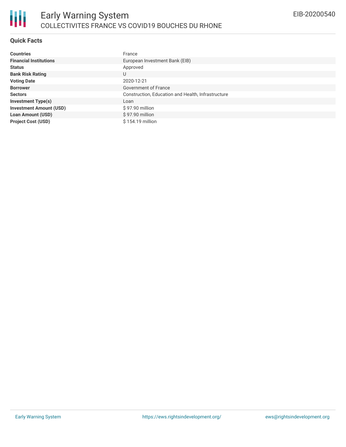

#### **Quick Facts**

| <b>Countries</b>               | France                                             |
|--------------------------------|----------------------------------------------------|
| <b>Financial Institutions</b>  | European Investment Bank (EIB)                     |
| <b>Status</b>                  | Approved                                           |
| <b>Bank Risk Rating</b>        | U                                                  |
| <b>Voting Date</b>             | 2020-12-21                                         |
| <b>Borrower</b>                | Government of France                               |
| <b>Sectors</b>                 | Construction, Education and Health, Infrastructure |
| <b>Investment Type(s)</b>      | Loan                                               |
| <b>Investment Amount (USD)</b> | \$97.90 million                                    |
| <b>Loan Amount (USD)</b>       | $$97.90$ million                                   |
| <b>Project Cost (USD)</b>      | \$154.19 million                                   |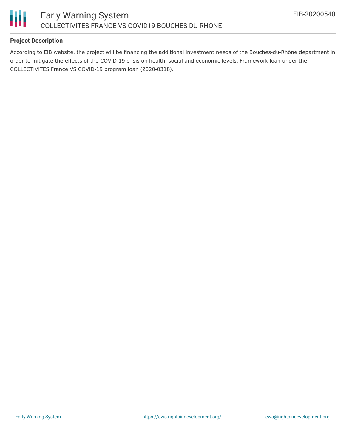

#### **Project Description**

According to EIB website, the project will be financing the additional investment needs of the Bouches-du-Rhône department in order to mitigate the effects of the COVID-19 crisis on health, social and economic levels. Framework loan under the COLLECTIVITES France VS COVID-19 program loan (2020-0318).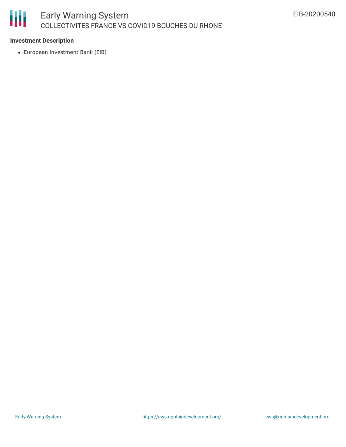# 朋

#### **Investment Description**

European Investment Bank (EIB)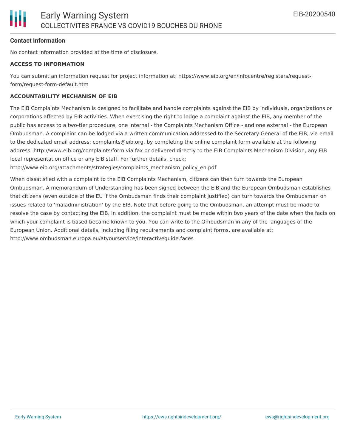#### **Contact Information**

No contact information provided at the time of disclosure.

#### **ACCESS TO INFORMATION**

You can submit an information request for project information at: https://www.eib.org/en/infocentre/registers/requestform/request-form-default.htm

#### **ACCOUNTABILITY MECHANISM OF EIB**

The EIB Complaints Mechanism is designed to facilitate and handle complaints against the EIB by individuals, organizations or corporations affected by EIB activities. When exercising the right to lodge a complaint against the EIB, any member of the public has access to a two-tier procedure, one internal - the Complaints Mechanism Office - and one external - the European Ombudsman. A complaint can be lodged via a written communication addressed to the Secretary General of the EIB, via email to the dedicated email address: complaints@eib.org, by completing the online complaint form available at the following address: http://www.eib.org/complaints/form via fax or delivered directly to the EIB Complaints Mechanism Division, any EIB local representation office or any EIB staff. For further details, check:

http://www.eib.org/attachments/strategies/complaints\_mechanism\_policy\_en.pdf

When dissatisfied with a complaint to the EIB Complaints Mechanism, citizens can then turn towards the European Ombudsman. A memorandum of Understanding has been signed between the EIB and the European Ombudsman establishes that citizens (even outside of the EU if the Ombudsman finds their complaint justified) can turn towards the Ombudsman on issues related to 'maladministration' by the EIB. Note that before going to the Ombudsman, an attempt must be made to resolve the case by contacting the EIB. In addition, the complaint must be made within two years of the date when the facts on which your complaint is based became known to you. You can write to the Ombudsman in any of the languages of the European Union. Additional details, including filing requirements and complaint forms, are available at: http://www.ombudsman.europa.eu/atyourservice/interactiveguide.faces